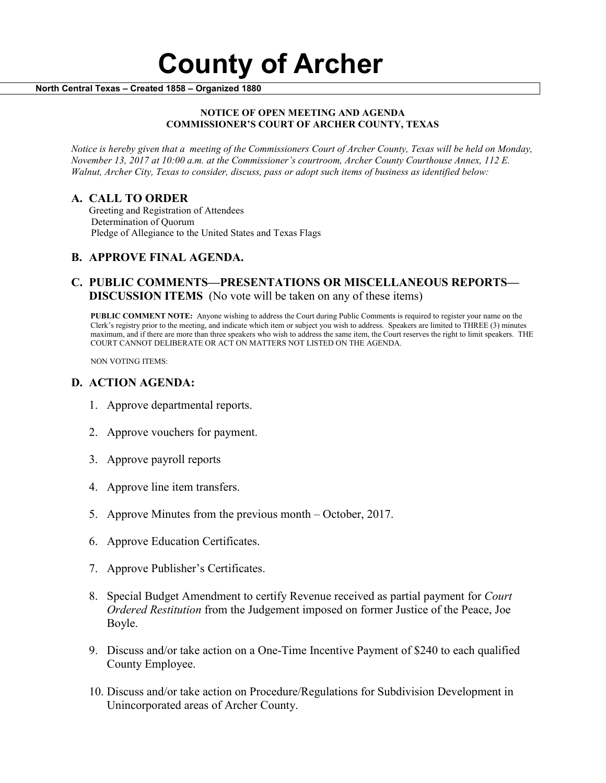#### **NOTICE OF OPEN MEETING AND AGENDA COMMISSIONER'S COURT OF ARCHER COUNTY, TEXAS**

*Notice is hereby given that a meeting of the Commissioners Court of Archer County, Texas will be held on Monday, November 13, 2017 at 10:00 a.m. at the Commissioner's courtroom, Archer County Courthouse Annex, 112 E. Walnut, Archer City, Texas to consider, discuss, pass or adopt such items of business as identified below:*

**A. CALL TO ORDER** Greeting and Registration of Attendees Determination of Quorum Pledge of Allegiance to the United States and Texas Flags

# **B. APPROVE FINAL AGENDA.**

# **C. PUBLIC COMMENTS—PRESENTATIONS OR MISCELLANEOUS REPORTS— DISCUSSION ITEMS** (No vote will be taken on any of these items)

**PUBLIC COMMENT NOTE:** Anyone wishing to address the Court during Public Comments is required to register your name on the Clerk's registry prior to the meeting, and indicate which item or subject you wish to address. Speakers are limited to THREE (3) minutes maximum, and if there are more than three speakers who wish to address the same item, the Court reserves the right to limit speakers. THE COURT CANNOT DELIBERATE OR ACT ON MATTERS NOT LISTED ON THE AGENDA.

NON VOTING ITEMS:

### **D. ACTION AGENDA:**

- 1. Approve departmental reports.
- 2. Approve vouchers for payment.
- 3. Approve payroll reports
- 4. Approve line item transfers.
- 5. Approve Minutes from the previous month October, 2017.
- 6. Approve Education Certificates.
- 7. Approve Publisher's Certificates.
- 8. Special Budget Amendment to certify Revenue received as partial payment for *Court Ordered Restitution* from the Judgement imposed on former Justice of the Peace, Joe Boyle.
- 9. Discuss and/or take action on a One-Time Incentive Payment of \$240 to each qualified County Employee.
- 10. Discuss and/or take action on Procedure/Regulations for Subdivision Development in Unincorporated areas of Archer County.